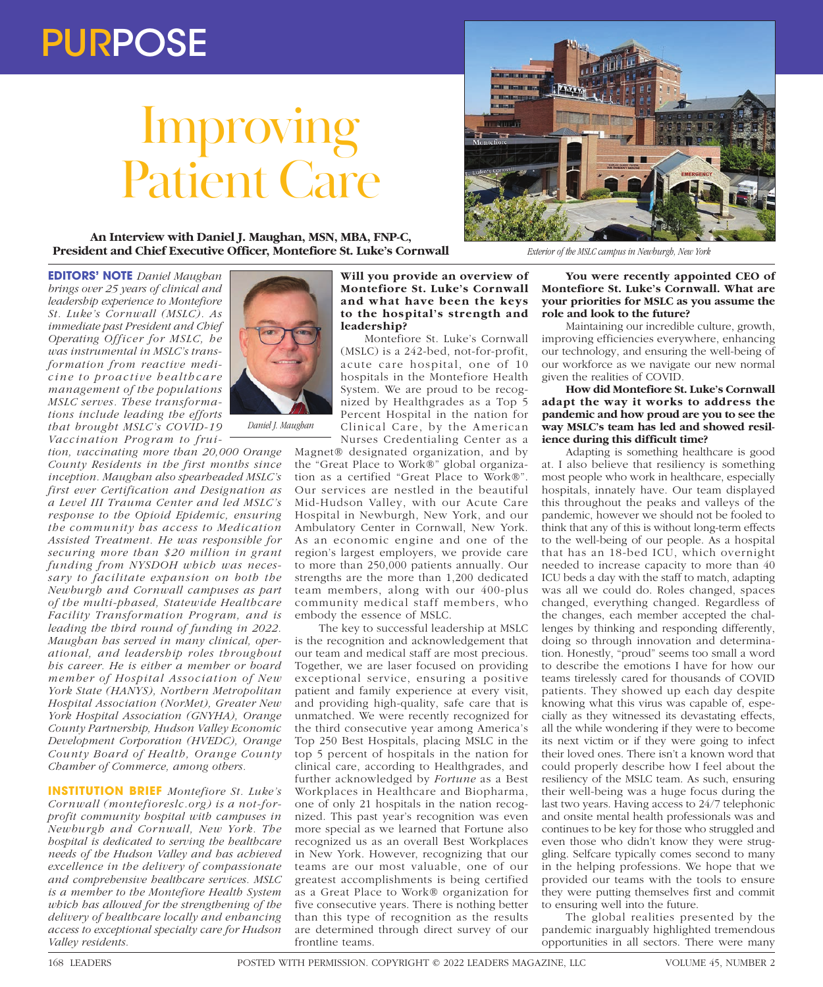# PURPOSE

# Improving Patient Care

**An Interview with Daniel J. Maughan, MSN, MBA, FNP-C, President and Chief Executive Officer, Montefiore St. Luke's Cornwall**



*tion, vaccinating more than 20,000 Orange County Residents in the first months since inception. Maughan also spearheaded MSLC's first ever Certification and Designation as a Level III Trauma Center and led MSLC's response to the Opioid Epidemic, ensuring the community has access to Medication Assisted Treatment. He was responsible for securing more than \$20 million in grant funding from NYSDOH which was necessary to facilitate expansion on both the Newburgh and Cornwall campuses as part of the multi-phased, Statewide Healthcare Facility Transformation Program, and is leading the third round of funding in 2022. Maughan has served in many clinical, operational, and leadership roles throughout his career. He is either a member or board member of Hospital Association of New York State (HANYS), Northern Metropolitan Hospital Association (NorMet), Greater New York Hospital Association (GNYHA), Orange County Partnership, Hudson Valley Economic Development Corporation (HVEDC), Orange County Board of Health, Orange County Chamber of Commerce, among others.*

**INSTITUTION BRIEF** *Montefiore St. Luke's Cornwall (montefioreslc.org) is a not-forprofit community hospital with campuses in Newburgh and Cornwall, New York. The hospital is dedicated to serving the healthcare needs of the Hudson Valley and has achieved excellence in the delivery of compassionate and comprehensive healthcare services. MSLC is a member to the Montefiore Health System which has allowed for the strengthening of the delivery of healthcare locally and enhancing access to exceptional specialty care for Hudson Valley residents.* 



Montefiore St. Luke's Cornwall (MSLC) is a 242-bed, not-for-profit, acute care hospital, one of 10 hospitals in the Montefiore Health System. We are proud to be recognized by Healthgrades as a Top 5 Percent Hospital in the nation for Clinical Care, by the American Nurses Credentialing Center as a

Magnet® designated organization, and by the "Great Place to Work®" global organization as a certified "Great Place to Work®". Our services are nestled in the beautiful Mid-Hudson Valley, with our Acute Care Hospital in Newburgh, New York, and our Ambulatory Center in Cornwall, New York. As an economic engine and one of the region's largest employers, we provide care to more than 250,000 patients annually. Our strengths are the more than 1,200 dedicated team members, along with our 400-plus community medical staff members, who embody the essence of MSLC.

The key to successful leadership at MSLC is the recognition and acknowledgement that our team and medical staff are most precious. Together, we are laser focused on providing exceptional service, ensuring a positive patient and family experience at every visit, and providing high-quality, safe care that is unmatched. We were recently recognized for the third consecutive year among America's Top 250 Best Hospitals, placing MSLC in the top 5 percent of hospitals in the nation for clinical care, according to Healthgrades, and further acknowledged by *Fortune* as a Best Workplaces in Healthcare and Biopharma, one of only 21 hospitals in the nation recognized. This past year's recognition was even more special as we learned that Fortune also recognized us as an overall Best Workplaces in New York. However, recognizing that our teams are our most valuable, one of our greatest accomplishments is being certified as a Great Place to Work® organization for five consecutive years. There is nothing better than this type of recognition as the results are determined through direct survey of our frontline teams.



*Exterior of the MSLC campus in Newburgh, New York*

**You were recently appointed CEO of Montefiore St. Luke's Cornwall. What are your priorities for MSLC as you assume the role and look to the future?**

Maintaining our incredible culture, growth, improving efficiencies everywhere, enhancing our technology, and ensuring the well-being of our workforce as we navigate our new normal given the realities of COVID.

## **How did Montefiore St. Luke's Cornwall adapt the way it works to address the pandemic and how proud are you to see the way MSLC's team has led and showed resilience during this difficult time?**

Adapting is something healthcare is good at. I also believe that resiliency is something most people who work in healthcare, especially hospitals, innately have. Our team displayed this throughout the peaks and valleys of the pandemic, however we should not be fooled to think that any of this is without long-term effects to the well-being of our people. As a hospital that has an 18-bed ICU, which overnight needed to increase capacity to more than 40 ICU beds a day with the staff to match, adapting was all we could do. Roles changed, spaces changed, everything changed. Regardless of the changes, each member accepted the challenges by thinking and responding differently, doing so through innovation and determination. Honestly, "proud" seems too small a word to describe the emotions I have for how our teams tirelessly cared for thousands of COVID patients. They showed up each day despite knowing what this virus was capable of, especially as they witnessed its devastating effects, all the while wondering if they were to become its next victim or if they were going to infect their loved ones. There isn't a known word that could properly describe how I feel about the resiliency of the MSLC team. As such, ensuring their well-being was a huge focus during the last two years. Having access to 24/7 telephonic and onsite mental health professionals was and continues to be key for those who struggled and even those who didn't know they were struggling. Selfcare typically comes second to many in the helping professions. We hope that we provided our teams with the tools to ensure they were putting themselves first and commit to ensuring well into the future.

The global realities presented by the pandemic inarguably highlighted tremendous opportunities in all sectors. There were many



*Daniel J. Maughan*